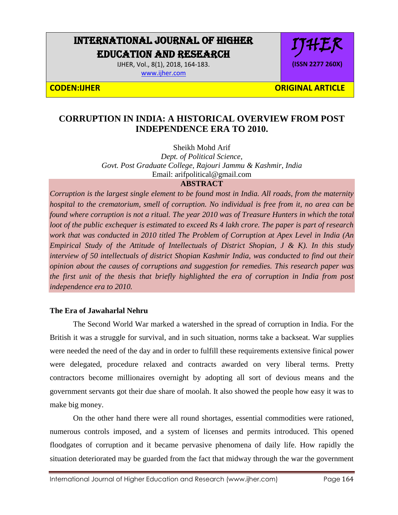# INTERNATIONAL JOURNAL OF HIGHER EDUCATION AND RESEARCH

IJHER, Vol., 8(1), 2018, 164-183. [www.ijher.com](http://www.ijher.com/)

IJHER **(ISSN 2277 260X)**

**CODEN:IJHER ORIGINAL ARTICLE** 

## **CORRUPTION IN INDIA: A HISTORICAL OVERVIEW FROM POST INDEPENDENCE ERA TO 2010.**

Sheikh Mohd Arif

*Dept. of Political Science, Govt. Post Graduate College, Rajouri Jammu & Kashmir, India* Email: arifpolitical@gmail.com

## **ABSTRACT**

*Corruption is the largest single element to be found most in India. All roads, from the maternity hospital to the crematorium, smell of corruption. No individual is free from it, no area can be found where corruption is not a ritual. The year 2010 was of Treasure Hunters in which the total loot of the public exchequer is estimated to exceed Rs 4 lakh crore. The paper is part of research work that was conducted in 2010 titled The Problem of Corruption at Apex Level in India (An Empirical Study of the Attitude of Intellectuals of District Shopian, J & K). In this study interview of 50 intellectuals of district Shopian Kashmir India, was conducted to find out their opinion about the causes of corruptions and suggestion for remedies. This research paper was the first unit of the thesis that briefly highlighted the era of corruption in India from post independence era to 2010.* 

### **The Era of Jawaharlal Nehru**

The Second World War marked a watershed in the spread of corruption in India. For the British it was a struggle for survival, and in such situation, norms take a backseat. War supplies were needed the need of the day and in order to fulfill these requirements extensive finical power were delegated, procedure relaxed and contracts awarded on very liberal terms. Pretty contractors become millionaires overnight by adopting all sort of devious means and the government servants got their due share of moolah. It also showed the people how easy it was to make big money.

On the other hand there were all round shortages, essential commodities were rationed, numerous controls imposed, and a system of licenses and permits introduced. This opened floodgates of corruption and it became pervasive phenomena of daily life. How rapidly the situation deteriorated may be guarded from the fact that midway through the war the government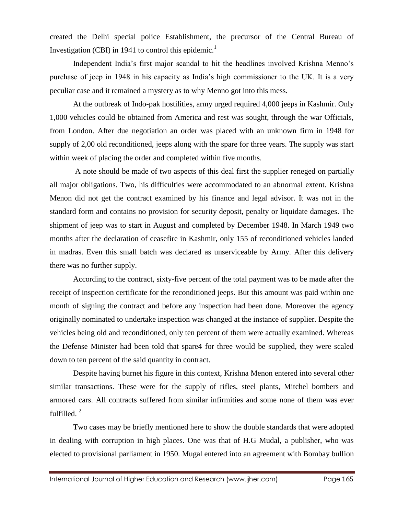created the Delhi special police Establishment, the precursor of the Central Bureau of Investigation (CBI) in 1941 to control this epidemic.<sup>1</sup>

Independent India's first major scandal to hit the headlines involved Krishna Menno's purchase of jeep in 1948 in his capacity as India's high commissioner to the UK. It is a very peculiar case and it remained a mystery as to why Menno got into this mess.

At the outbreak of Indo-pak hostilities, army urged required 4,000 jeeps in Kashmir. Only 1,000 vehicles could be obtained from America and rest was sought, through the war Officials, from London. After due negotiation an order was placed with an unknown firm in 1948 for supply of 2,00 old reconditioned, jeeps along with the spare for three years. The supply was start within week of placing the order and completed within five months.

A note should be made of two aspects of this deal first the supplier reneged on partially all major obligations. Two, his difficulties were accommodated to an abnormal extent. Krishna Menon did not get the contract examined by his finance and legal advisor. It was not in the standard form and contains no provision for security deposit, penalty or liquidate damages. The shipment of jeep was to start in August and completed by December 1948. In March 1949 two months after the declaration of ceasefire in Kashmir, only 155 of reconditioned vehicles landed in madras. Even this small batch was declared as unserviceable by Army. After this delivery there was no further supply.

According to the contract, sixty-five percent of the total payment was to be made after the receipt of inspection certificate for the reconditioned jeeps. But this amount was paid within one month of signing the contract and before any inspection had been done. Moreover the agency originally nominated to undertake inspection was changed at the instance of supplier. Despite the vehicles being old and reconditioned, only ten percent of them were actually examined. Whereas the Defense Minister had been told that spare4 for three would be supplied, they were scaled down to ten percent of the said quantity in contract.

Despite having burnet his figure in this context, Krishna Menon entered into several other similar transactions. These were for the supply of rifles, steel plants, Mitchel bombers and armored cars. All contracts suffered from similar infirmities and some none of them was ever fulfilled. $2$ 

Two cases may be briefly mentioned here to show the double standards that were adopted in dealing with corruption in high places. One was that of H.G Mudal, a publisher, who was elected to provisional parliament in 1950. Mugal entered into an agreement with Bombay bullion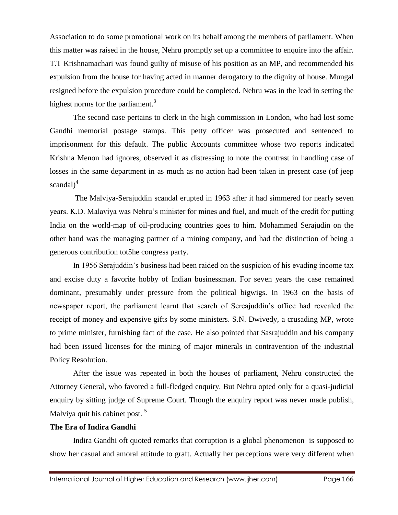Association to do some promotional work on its behalf among the members of parliament. When this matter was raised in the house, Nehru promptly set up a committee to enquire into the affair. T.T Krishnamachari was found guilty of misuse of his position as an MP, and recommended his expulsion from the house for having acted in manner derogatory to the dignity of house. Mungal resigned before the expulsion procedure could be completed. Nehru was in the lead in setting the highest norms for the parliament. $3$ 

The second case pertains to clerk in the high commission in London, who had lost some Gandhi memorial postage stamps. This petty officer was prosecuted and sentenced to imprisonment for this default. The public Accounts committee whose two reports indicated Krishna Menon had ignores, observed it as distressing to note the contrast in handling case of losses in the same department in as much as no action had been taken in present case (of jeep scandal $)^4$ 

The Malviya-Serajuddin scandal erupted in 1963 after it had simmered for nearly seven years. K.D. Malaviya was Nehru's minister for mines and fuel, and much of the credit for putting India on the world-map of oil-producing countries goes to him. Mohammed Serajudin on the other hand was the managing partner of a mining company, and had the distinction of being a generous contribution tot5he congress party.

In 1956 Serajuddin's business had been raided on the suspicion of his evading income tax and excise duty a favorite hobby of Indian businessman. For seven years the case remained dominant, presumably under pressure from the political bigwigs. In 1963 on the basis of newspaper report, the parliament learnt that search of Sereajuddin's office had revealed the receipt of money and expensive gifts by some ministers. S.N. Dwivedy, a crusading MP, wrote to prime minister, furnishing fact of the case. He also pointed that Sasrajuddin and his company had been issued licenses for the mining of major minerals in contravention of the industrial Policy Resolution.

After the issue was repeated in both the houses of parliament, Nehru constructed the Attorney General, who favored a full-fledged enquiry. But Nehru opted only for a quasi-judicial enquiry by sitting judge of Supreme Court. Though the enquiry report was never made publish, Malviya quit his cabinet post.<sup>5</sup>

#### **The Era of Indira Gandhi**

Indira Gandhi oft quoted remarks that corruption is a global phenomenon is supposed to show her casual and amoral attitude to graft. Actually her perceptions were very different when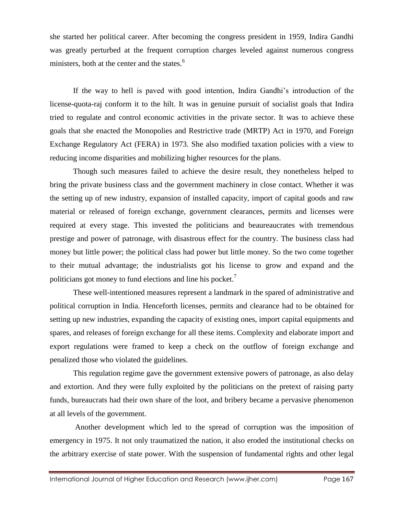she started her political career. After becoming the congress president in 1959, Indira Gandhi was greatly perturbed at the frequent corruption charges leveled against numerous congress ministers, both at the center and the states.<sup>6</sup>

If the way to hell is paved with good intention, Indira Gandhi's introduction of the license-quota-raj conform it to the hilt. It was in genuine pursuit of socialist goals that Indira tried to regulate and control economic activities in the private sector. It was to achieve these goals that she enacted the Monopolies and Restrictive trade (MRTP) Act in 1970, and Foreign Exchange Regulatory Act (FERA) in 1973. She also modified taxation policies with a view to reducing income disparities and mobilizing higher resources for the plans.

Though such measures failed to achieve the desire result, they nonetheless helped to bring the private business class and the government machinery in close contact. Whether it was the setting up of new industry, expansion of installed capacity, import of capital goods and raw material or released of foreign exchange, government clearances, permits and licenses were required at every stage. This invested the politicians and beaureaucrates with tremendous prestige and power of patronage, with disastrous effect for the country. The business class had money but little power; the political class had power but little money. So the two come together to their mutual advantage; the industrialists got his license to grow and expand and the politicians got money to fund elections and line his pocket.<sup>7</sup>

These well-intentioned measures represent a landmark in the spared of administrative and political corruption in India. Henceforth licenses, permits and clearance had to be obtained for setting up new industries, expanding the capacity of existing ones, import capital equipments and spares, and releases of foreign exchange for all these items. Complexity and elaborate import and export regulations were framed to keep a check on the outflow of foreign exchange and penalized those who violated the guidelines.

This regulation regime gave the government extensive powers of patronage, as also delay and extortion. And they were fully exploited by the politicians on the pretext of raising party funds, bureaucrats had their own share of the loot, and bribery became a pervasive phenomenon at all levels of the government.

Another development which led to the spread of corruption was the imposition of emergency in 1975. It not only traumatized the nation, it also eroded the institutional checks on the arbitrary exercise of state power. With the suspension of fundamental rights and other legal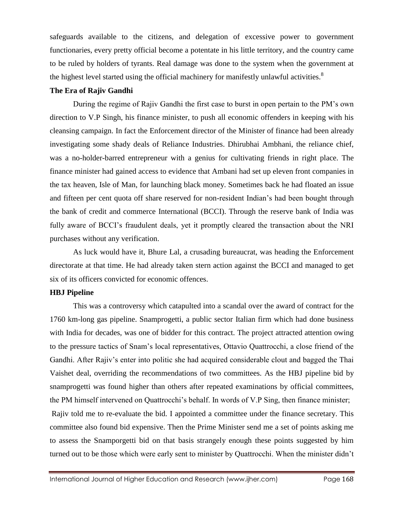safeguards available to the citizens, and delegation of excessive power to government functionaries, every pretty official become a potentate in his little territory, and the country came to be ruled by holders of tyrants. Real damage was done to the system when the government at the highest level started using the official machinery for manifestly unlawful activities.<sup>8</sup>

#### **The Era of Rajiv Gandhi**

During the regime of Rajiv Gandhi the first case to burst in open pertain to the PM's own direction to V.P Singh, his finance minister, to push all economic offenders in keeping with his cleansing campaign. In fact the Enforcement director of the Minister of finance had been already investigating some shady deals of Reliance Industries. Dhirubhai Ambhani, the reliance chief, was a no-holder-barred entrepreneur with a genius for cultivating friends in right place. The finance minister had gained access to evidence that Ambani had set up eleven front companies in the tax heaven, Isle of Man, for launching black money. Sometimes back he had floated an issue and fifteen per cent quota off share reserved for non-resident Indian's had been bought through the bank of credit and commerce International (BCCI). Through the reserve bank of India was fully aware of BCCI's fraudulent deals, yet it promptly cleared the transaction about the NRI purchases without any verification.

As luck would have it, Bhure Lal, a crusading bureaucrat, was heading the Enforcement directorate at that time. He had already taken stern action against the BCCI and managed to get six of its officers convicted for economic offences.

#### **HBJ Pipeline**

This was a controversy which catapulted into a scandal over the award of contract for the 1760 km-long gas pipeline. Snamprogetti, a public sector Italian firm which had done business with India for decades, was one of bidder for this contract. The project attracted attention owing to the pressure tactics of Snam's local representatives, Ottavio Quattrocchi, a close friend of the Gandhi. After Rajiv's enter into politic she had acquired considerable clout and bagged the Thai Vaishet deal, overriding the recommendations of two committees. As the HBJ pipeline bid by snamprogetti was found higher than others after repeated examinations by official committees, the PM himself intervened on Quattrocchi's behalf. In words of V.P Sing, then finance minister; Rajiv told me to re-evaluate the bid. I appointed a committee under the finance secretary. This committee also found bid expensive. Then the Prime Minister send me a set of points asking me to assess the Snamporgetti bid on that basis strangely enough these points suggested by him turned out to be those which were early sent to minister by Quattrocchi. When the minister didn't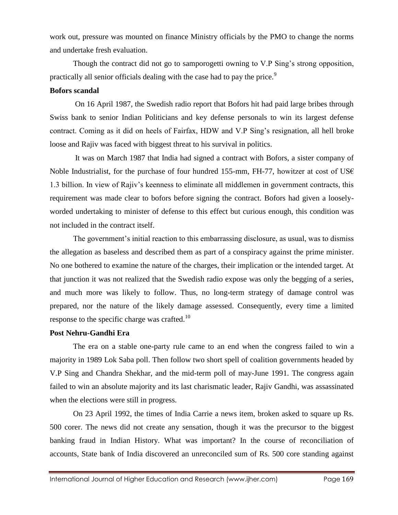work out, pressure was mounted on finance Ministry officials by the PMO to change the norms and undertake fresh evaluation.

Though the contract did not go to samporogetti owning to V.P Sing's strong opposition, practically all senior officials dealing with the case had to pay the price.<sup>9</sup>

#### **Bofors scandal**

On 16 April 1987, the Swedish radio report that Bofors hit had paid large bribes through Swiss bank to senior Indian Politicians and key defense personals to win its largest defense contract. Coming as it did on heels of Fairfax, HDW and V.P Sing's resignation, all hell broke loose and Rajiv was faced with biggest threat to his survival in politics.

It was on March 1987 that India had signed a contract with Bofors, a sister company of Noble Industrialist, for the purchase of four hundred 155-mm, FH-77, howitzer at cost of US $\epsilon$ 1.3 billion. In view of Rajiv's keenness to eliminate all middlemen in government contracts, this requirement was made clear to bofors before signing the contract. Bofors had given a looselyworded undertaking to minister of defense to this effect but curious enough, this condition was not included in the contract itself.

The government's initial reaction to this embarrassing disclosure, as usual, was to dismiss the allegation as baseless and described them as part of a conspiracy against the prime minister. No one bothered to examine the nature of the charges, their implication or the intended target. At that junction it was not realized that the Swedish radio expose was only the begging of a series, and much more was likely to follow. Thus, no long-term strategy of damage control was prepared, nor the nature of the likely damage assessed. Consequently, every time a limited response to the specific charge was crafted.<sup>10</sup>

### **Post Nehru-Gandhi Era**

The era on a stable one-party rule came to an end when the congress failed to win a majority in 1989 Lok Saba poll. Then follow two short spell of coalition governments headed by V.P Sing and Chandra Shekhar, and the mid-term poll of may-June 1991. The congress again failed to win an absolute majority and its last charismatic leader, Rajiv Gandhi, was assassinated when the elections were still in progress.

On 23 April 1992, the times of India Carrie a news item, broken asked to square up Rs. 500 corer. The news did not create any sensation, though it was the precursor to the biggest banking fraud in Indian History. What was important? In the course of reconciliation of accounts, State bank of India discovered an unreconciled sum of Rs. 500 core standing against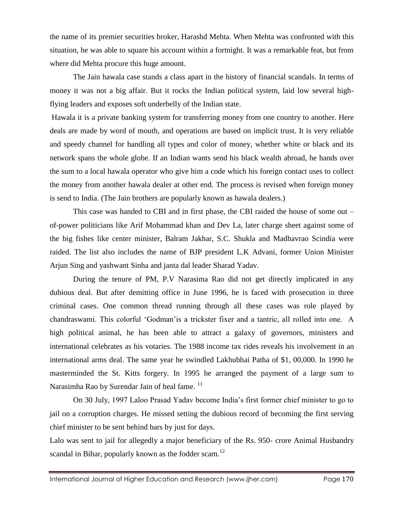the name of its premier securities broker, Harashd Mehta. When Mehta was confronted with this situation, he was able to square his account within a fortnight. It was a remarkable feat, but from where did Mehta procure this huge amount.

The Jain hawala case stands a class apart in the history of financial scandals. In terms of money it was not a big affair. But it rocks the Indian political system, laid low several highflying leaders and exposes soft underbelly of the Indian state.

Hawala it is a private banking system for transferring money from one country to another. Here deals are made by word of mouth, and operations are based on implicit trust. It is very reliable and speedy channel for handling all types and color of money, whether white or black and its network spans the whole globe. If an Indian wants send his black wealth abroad, he hands over the sum to a local hawala operator who give him a code which his foreign contact uses to collect the money from another hawala dealer at other end. The process is revised when foreign money is send to India. (The Jain brothers are popularly known as hawala dealers.)

This case was handed to CBI and in first phase, the CBI raided the house of some out – of-power politicians like Arif Mohammad khan and Dev La, later charge sheet against some of the big fishes like center minister, Balram Jakhar, S.C. Shukla and Madhavrao Scindia were raided. The list also includes the name of BJP president L.K Advani, former Union Minister Arjun Sing and yashwant Sinha and janta dal leader Sharad Yadav.

During the tenure of PM, P.V Narasima Rao did not get directly implicated in any dubious deal. But after demitting office in June 1996, he is faced with prosecution in three criminal cases. One common thread running through all these cases was role played by chandraswami. This colorful 'Godman'is a trickster fixer and a tantric, all rolled into one. A high political animal, he has been able to attract a galaxy of governors, ministers and international celebrates as his votaries. The 1988 income tax rides reveals his involvement in an international arms deal. The same year he swindled Lakhubhai Patha of \$1, 00,000. In 1990 he masterminded the St. Kitts forgery. In 1995 he arranged the payment of a large sum to Narasimha Rao by Surendar Jain of heal fame.  $^{11}$ 

On 30 July, 1997 Laloo Prasad Yadav become India's first former chief minister to go to jail on a corruption charges. He missed setting the dubious record of becoming the first serving chief minister to be sent behind bars by just for days.

Lalo was sent to jail for allegedly a major beneficiary of the Rs. 950- crore Animal Husbandry scandal in Bihar, popularly known as the fodder scam.<sup>12</sup>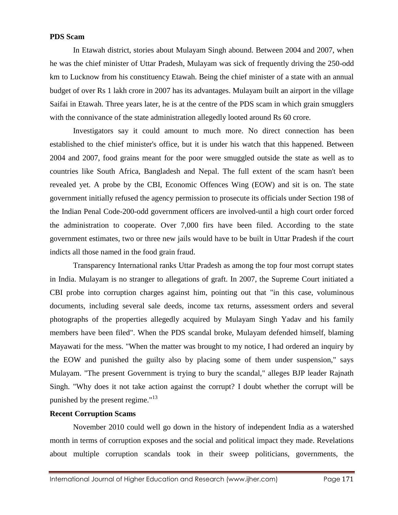#### **PDS Scam**

In Etawah district, stories about Mulayam Singh abound. Between 2004 and 2007, when he was the chief minister of Uttar Pradesh, Mulayam was sick of frequently driving the 250-odd km to Lucknow from his constituency Etawah. Being the chief minister of a state with an annual budget of over Rs 1 lakh crore in 2007 has its advantages. Mulayam built an airport in the village Saifai in Etawah. Three years later, he is at the centre of the PDS scam in which grain smugglers with the connivance of the state administration allegedly looted around Rs 60 crore.

Investigators say it could amount to much more. No direct connection has been established to the chief minister's office, but it is under his watch that this happened. Between 2004 and 2007, food grains meant for the poor were smuggled outside the state as well as to countries like South Africa, Bangladesh and Nepal. The full extent of the scam hasn't been revealed yet. A probe by the CBI, Economic Offences Wing (EOW) and sit is on. The state government initially refused the agency permission to prosecute its officials under Section 198 of the Indian Penal Code-200-odd government officers are involved-until a high court order forced the administration to cooperate. Over 7,000 firs have been filed. According to the state government estimates, two or three new jails would have to be built in Uttar Pradesh if the court indicts all those named in the food grain fraud.

Transparency International ranks Uttar Pradesh as among the top four most corrupt states in India. Mulayam is no stranger to allegations of graft. In 2007, the Supreme Court initiated a CBI probe into corruption charges against him, pointing out that "in this case, voluminous documents, including several sale deeds, income tax returns, assessment orders and several photographs of the properties allegedly acquired by Mulayam Singh Yadav and his family members have been filed". When the PDS scandal broke, Mulayam defended himself, blaming Mayawati for the mess. "When the matter was brought to my notice, I had ordered an inquiry by the EOW and punished the guilty also by placing some of them under suspension," says Mulayam. "The present Government is trying to bury the scandal," alleges BJP leader Rajnath Singh. "Why does it not take action against the corrupt? I doubt whether the corrupt will be punished by the present regime."<sup>13</sup>

#### **Recent Corruption Scams**

November 2010 could well go down in the history of independent India as a watershed month in terms of corruption exposes and the social and political impact they made. Revelations about multiple corruption scandals took in their sweep politicians, governments, the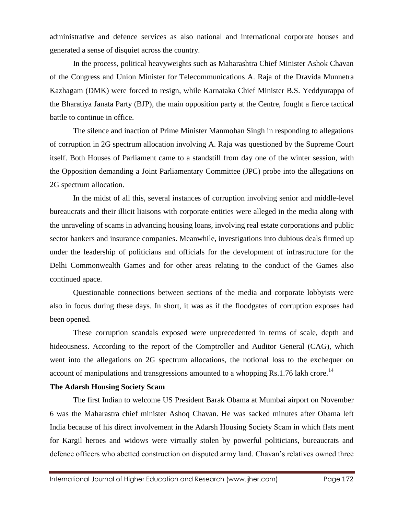administrative and defence services as also national and international corporate houses and generated a sense of disquiet across the country.

In the process, political heavyweights such as Maharashtra Chief Minister Ashok Chavan of the Congress and Union Minister for Telecommunications A. Raja of the Dravida Munnetra Kazhagam (DMK) were forced to resign, while Karnataka Chief Minister B.S. Yeddyurappa of the Bharatiya Janata Party (BJP), the main opposition party at the Centre, fought a fierce tactical battle to continue in office.

The silence and inaction of Prime Minister Manmohan Singh in responding to allegations of corruption in 2G spectrum allocation involving A. Raja was questioned by the Supreme Court itself. Both Houses of Parliament came to a standstill from day one of the winter session, with the Opposition demanding a Joint Parliamentary Committee (JPC) probe into the allegations on 2G spectrum allocation.

In the midst of all this, several instances of corruption involving senior and middle-level bureaucrats and their illicit liaisons with corporate entities were alleged in the media along with the unraveling of scams in advancing housing loans, involving real estate corporations and public sector bankers and insurance companies. Meanwhile, investigations into dubious deals firmed up under the leadership of politicians and officials for the development of infrastructure for the Delhi Commonwealth Games and for other areas relating to the conduct of the Games also continued apace.

Questionable connections between sections of the media and corporate lobbyists were also in focus during these days. In short, it was as if the floodgates of corruption exposes had been opened.

These corruption scandals exposed were unprecedented in terms of scale, depth and hideousness. According to the report of the Comptroller and Auditor General (CAG), which went into the allegations on 2G spectrum allocations, the notional loss to the exchequer on account of manipulations and transgressions amounted to a whopping  $Rs.1.76$  lakh crore.<sup>14</sup>

#### **The Adarsh Housing Society Scam**

The first Indian to welcome US President Barak Obama at Mumbai airport on November 6 was the Maharastra chief minister Ashoq Chavan. He was sacked minutes after Obama left India because of his direct involvement in the Adarsh Housing Society Scam in which flats ment for Kargil heroes and widows were virtually stolen by powerful politicians, bureaucrats and defence officers who abetted construction on disputed army land. Chavan's relatives owned three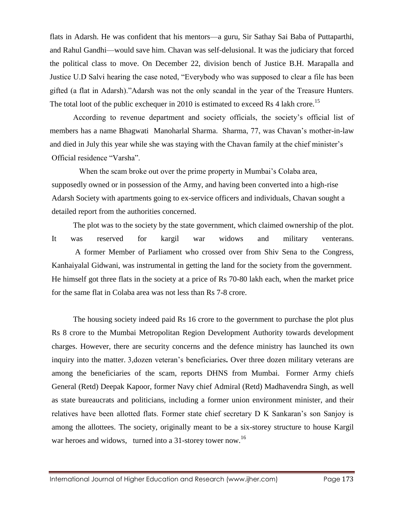flats in Adarsh. He was confident that his mentors—a guru, Sir Sathay Sai Baba of Puttaparthi, and Rahul Gandhi—would save him. Chavan was self-delusional. It was the judiciary that forced the political class to move. On December 22, division bench of Justice B.H. Marapalla and Justice U.D Salvi hearing the case noted, "Everybody who was supposed to clear a file has been gifted (a flat in Adarsh)."Adarsh was not the only scandal in the year of the Treasure Hunters. The total loot of the public exchequer in 2010 is estimated to exceed Rs 4 lakh crore.<sup>15</sup>

According to revenue department and society officials, the society's official list of members has a name Bhagwati Manoharlal Sharma. Sharma, 77, was Chavan's mother-in-law and died in July this year while she was staying with the Chavan family at the chief minister's Official residence "Varsha".

 When the scam broke out over the prime property in Mumbai's Colaba area, supposedly owned or in possession of the Army, and having been converted into a high-rise Adarsh Society with apartments going to ex-service officers and individuals, Chavan sought a detailed report from the authorities concerned.

The plot was to the society by the state government, which claimed ownership of the plot. It was reserved for kargil war widows and military venterans. A former Member of Parliament who crossed over from Shiv Sena to the Congress, Kanhaiyalal Gidwani, was instrumental in getting the land for the society from the government. He himself got three flats in the society at a price of Rs 70-80 lakh each, when the market price for the same flat in Colaba area was not less than Rs 7-8 crore.

 The housing society indeed paid Rs 16 crore to the government to purchase the plot plus Rs 8 crore to the Mumbai Metropolitan Region Development Authority towards development charges. However, there are security concerns and the defence ministry has launched its own inquiry into the matter. 3,dozen veteran's beneficiaries**.** Over three dozen military veterans are among the beneficiaries of the scam, reports DHNS from Mumbai. Former Army chiefs General (Retd) Deepak Kapoor, former Navy chief Admiral (Retd) Madhavendra Singh, as well as state bureaucrats and politicians, including a former union environment minister, and their relatives have been allotted flats. Former state chief secretary D K Sankaran's son Sanjoy is among the allottees. The society, originally meant to be a six-storey structure to house Kargil war heroes and widows, turned into a 31-storey tower now.<sup>16</sup>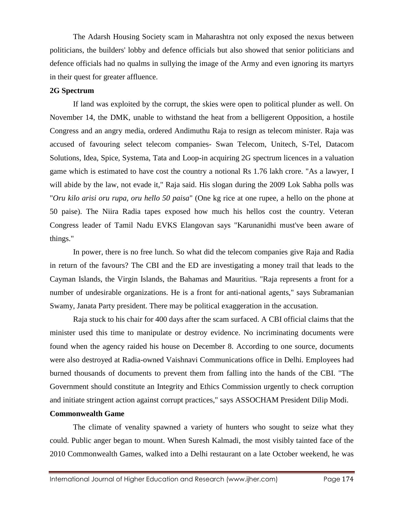The Adarsh Housing Society scam in Maharashtra not only exposed the nexus between politicians, the builders' lobby and defence officials but also showed that senior politicians and defence officials had no qualms in sullying the image of the Army and even ignoring its martyrs in their quest for greater affluence.

#### **2G Spectrum**

If land was exploited by the corrupt, the skies were open to political plunder as well. On November 14, the DMK, unable to withstand the heat from a belligerent Opposition, a hostile Congress and an angry media, ordered Andimuthu Raja to resign as telecom minister. Raja was accused of favouring select telecom companies- Swan Telecom, Unitech, S-Tel, Datacom Solutions, Idea, Spice, Systema, Tata and Loop-in acquiring [2G spectrum](http://indiatoday.intoday.in/site/specials/2Gscam/index.jsp) licences in a valuation game which is estimated to have cost the country a notional Rs 1.76 lakh crore. "As a lawyer, I will abide by the law, not evade it," Raja said. His slogan during the 2009 Lok Sabha polls was "*Oru kilo arisi oru rupa, oru hello 50 paisa*" (One kg rice at one rupee, a hello on the phone at 50 paise). The Niira Radia tapes exposed how much his hellos cost the country. Veteran Congress leader of Tamil Nadu EVKS Elangovan says "Karunanidhi must've been aware of things."

In power, there is no free lunch. So what did the telecom companies give Raja and Radia in return of the favours? The CBI and the ED are investigating a money trail that leads to the Cayman Islands, the Virgin Islands, the Bahamas and Mauritius. "Raja represents a front for a number of undesirable organizations. He is a front for anti-national agents," says Subramanian Swamy, Janata Party president. There may be political exaggeration in the accusation.

Raja stuck to his chair for 400 days after the scam surfaced. A CBI official claims that the minister used this time to manipulate or destroy evidence. No incriminating documents were found when the agency raided his house on December 8. According to one source, documents were also destroyed at Radia-owned Vaishnavi Communications office in Delhi. Employees had burned thousands of documents to prevent them from falling into the hands of the CBI. "The Government should constitute an Integrity and Ethics Commission urgently to check corruption and initiate stringent action against corrupt practices," says ASSOCHAM President Dilip Modi.

#### **Commonwealth Game**

The climate of venality spawned a variety of hunters who sought to seize what they could. Public anger began to mount. When Suresh Kalmadi, the most visibly tainted face of the 2010 Commonwealth Games, walked into a Delhi restaurant on a late October weekend, he was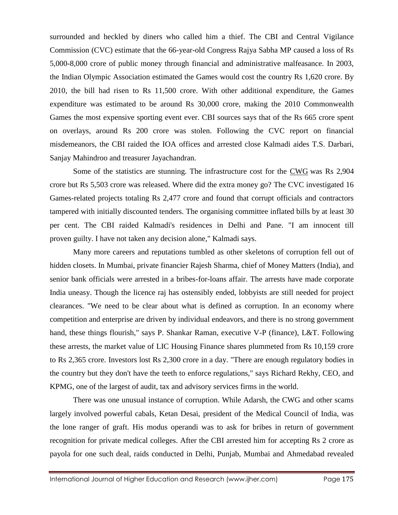surrounded and heckled by diners who called him a thief. The CBI and Central Vigilance Commission (CVC) estimate that the 66-year-old Congress Rajya Sabha MP caused a loss of Rs 5,000-8,000 crore of public money through financial and administrative malfeasance. In 2003, the Indian Olympic Association estimated the Games would cost the country Rs 1,620 crore. By 2010, the bill had risen to Rs 11,500 crore. With other additional expenditure, the Games expenditure was estimated to be around Rs 30,000 crore, making the 2010 Commonwealth Games the most expensive sporting event ever. CBI sources says that of the Rs 665 crore spent on overlays, around Rs 200 crore was stolen. Following the CVC report on financial misdemeanors, the CBI raided the IOA offices and arrested close Kalmadi aides T.S. Darbari, Sanjay Mahindroo and treasurer Jayachandran.

Some of the statistics are stunning. The infrastructure cost for the [CWG](http://indiatoday.intoday.in/site/specials/cwg/index.jsp) was Rs 2,904 crore but Rs 5,503 crore was released. Where did the extra money go? The CVC investigated 16 Games-related projects totaling Rs 2,477 crore and found that corrupt officials and contractors tampered with initially discounted tenders. The organising committee inflated bills by at least 30 per cent. The CBI raided Kalmadi's residences in Delhi and Pane. "I am innocent till proven guilty. I have not taken any decision alone," Kalmadi says.

Many more careers and reputations tumbled as other skeletons of corruption fell out of hidden closets. In Mumbai, private financier Rajesh Sharma, chief of Money Matters (India), and senior bank officials were arrested in a bribes-for-loans affair. The arrests have made corporate India uneasy. Though the licence raj has ostensibly ended, lobbyists are still needed for project clearances. "We need to be clear about what is defined as corruption. In an economy where competition and enterprise are driven by individual endeavors, and there is no strong government hand, these things flourish," says P. Shankar Raman, executive V-P (finance), L&T. Following these arrests, the market value of LIC Housing Finance shares plummeted from Rs 10,159 crore to Rs 2,365 crore. Investors lost Rs 2,300 crore in a day. "There are enough regulatory bodies in the country but they don't have the teeth to enforce regulations," says Richard Rekhy, CEO, and KPMG, one of the largest of audit, tax and advisory services firms in the world.

There was one unusual instance of corruption. While Adarsh, the CWG and other scams largely involved powerful cabals, Ketan Desai, president of the Medical Council of India, was the lone ranger of graft. His modus operandi was to ask for bribes in return of government recognition for private medical colleges. After the CBI arrested him for accepting Rs 2 crore as payola for one such deal, raids conducted in Delhi, Punjab, Mumbai and Ahmedabad revealed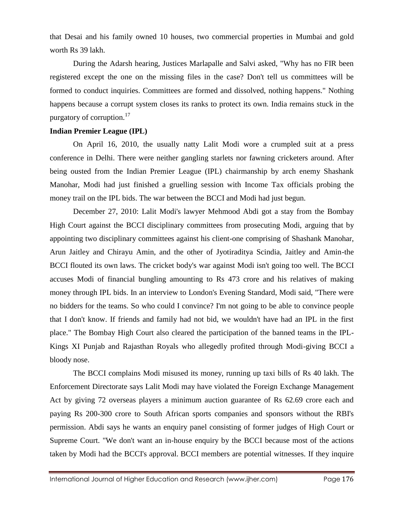that Desai and his family owned 10 houses, two commercial properties in Mumbai and gold worth Rs 39 lakh.

During the Adarsh hearing, Justices Marlapalle and Salvi asked, "Why has no FIR been registered except the one on the missing files in the case? Don't tell us committees will be formed to conduct inquiries. Committees are formed and dissolved, nothing happens." Nothing happens because a corrupt system closes its ranks to protect its own. India remains stuck in the purgatory of corruption.<sup>17</sup>

#### **Indian Premier League (IPL)**

On April 16, 2010, the usually natty Lalit Modi wore a crumpled suit at a press conference in Delhi. There were neither gangling starlets nor fawning cricketers around. After being ousted from the Indian Premier League (IPL) chairmanship by arch enemy Shashank Manohar, Modi had just finished a gruelling session with Income Tax officials probing the money trail on the IPL bids. The war between the BCCI and Modi had just begun.

December 27, 2010: Lalit Modi's lawyer Mehmood Abdi got a stay from the Bombay High Court against the BCCI disciplinary committees from prosecuting Modi, arguing that by appointing two disciplinary committees against his client-one comprising of Shashank Manohar, Arun Jaitley and Chirayu Amin, and the other of Jyotiraditya Scindia, Jaitley and Amin-the BCCI flouted its own laws. The cricket body's war against Modi isn't going too well. The BCCI accuses Modi of financial bungling amounting to Rs 473 crore and his relatives of making money through IPL bids. In an interview to London's Evening Standard, Modi said, "There were no bidders for the teams. So who could I convince? I'm not going to be able to convince people that I don't know. If friends and family had not bid, we wouldn't have had an IPL in the first place." The Bombay High Court also cleared the participation of the banned teams in the IPL-Kings XI Punjab and Rajasthan Royals who allegedly profited through Modi-giving BCCI a bloody nose.

The BCCI complains Modi misused its money, running up taxi bills of Rs 40 lakh. The Enforcement Directorate says Lalit Modi may have violated the Foreign Exchange Management Act by giving 72 overseas players a minimum auction guarantee of Rs 62.69 crore each and paying Rs 200-300 crore to South African sports companies and sponsors without the RBI's permission. Abdi says he wants an enquiry panel consisting of former judges of High Court or Supreme Court. "We don't want an in-house enquiry by the BCCI because most of the actions taken by Modi had the BCCI's approval. BCCI members are potential witnesses. If they inquire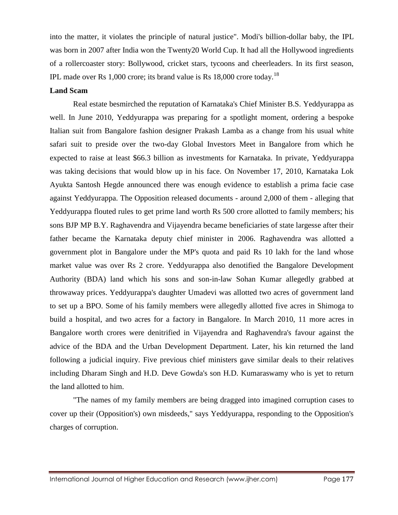into the matter, it violates the principle of natural justice". Modi's billion-dollar baby, the IPL was born in 2007 after India won the Twenty20 World Cup. It had all the Hollywood ingredients of a rollercoaster story: Bollywood, cricket stars, tycoons and cheerleaders. In its first season, IPL made over Rs 1,000 crore; its brand value is Rs  $18,000$  crore today.<sup>18</sup>

#### **Land Scam**

Real estate besmirched the reputation of Karnataka's Chief Minister B.S. Yeddyurappa as well. In June 2010, Yeddyurappa was preparing for a spotlight moment, ordering a bespoke Italian suit from Bangalore fashion designer Prakash Lamba as a change from his usual white safari suit to preside over the two-day Global Investors Meet in Bangalore from which he expected to raise at least \$66.3 billion as investments for Karnataka. In private, Yeddyurappa was taking decisions that would blow up in his face. On November 17, 2010, Karnataka Lok Ayukta Santosh Hegde announced there was enough evidence to establish a prima facie case against Yeddyurappa. The Opposition released documents - around 2,000 of them - alleging that Yeddyurappa flouted rules to get prime land worth Rs 500 crore allotted to family members; his sons BJP MP B.Y. Raghavendra and Vijayendra became beneficiaries of state largesse after their father became the Karnataka deputy chief minister in 2006. Raghavendra was allotted a government plot in Bangalore under the MP's quota and paid Rs 10 lakh for the land whose market value was over Rs 2 crore. Yeddyurappa also denotified the Bangalore Development Authority (BDA) land which his sons and son-in-law Sohan Kumar allegedly grabbed at throwaway prices. Yeddyurappa's daughter Umadevi was allotted two acres of government land to set up a BPO. Some of his family members were allegedly allotted five acres in Shimoga to build a hospital, and two acres for a factory in Bangalore. In March 2010, 11 more acres in Bangalore worth crores were denitrified in Vijayendra and Raghavendra's favour against the advice of the BDA and the Urban Development Department. Later, his kin returned the land following a judicial inquiry. Five previous chief ministers gave similar deals to their relatives including Dharam Singh and H.D. Deve Gowda's son H.D. Kumaraswamy who is yet to return the land allotted to him.

"The names of my family members are being dragged into imagined corruption cases to cover up their (Opposition's) own misdeeds," says Yeddyurappa, responding to the Opposition's charges of corruption.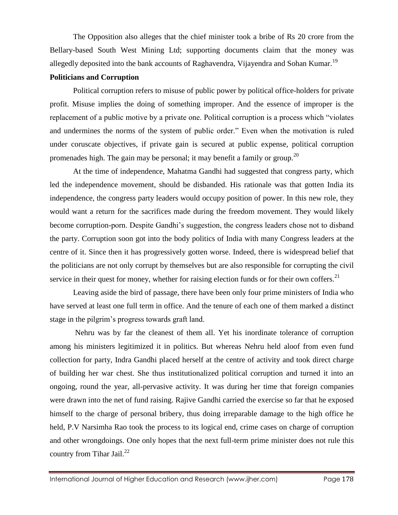The Opposition also alleges that the chief minister took a bribe of Rs 20 crore from the Bellary-based South West Mining Ltd; supporting documents claim that the money was allegedly deposited into the bank accounts of Raghavendra, Vijayendra and Sohan Kumar.<sup>19</sup>

#### **Politicians and Corruption**

Political corruption refers to misuse of public power by political office-holders for private profit. Misuse implies the doing of something improper. And the essence of improper is the replacement of a public motive by a private one. Political corruption is a process which "violates and undermines the norms of the system of public order." Even when the motivation is ruled under coruscate objectives, if private gain is secured at public expense, political corruption promenades high. The gain may be personal; it may benefit a family or group.<sup>20</sup>

At the time of independence, Mahatma Gandhi had suggested that congress party, which led the independence movement, should be disbanded. His rationale was that gotten India its independence, the congress party leaders would occupy position of power. In this new role, they would want a return for the sacrifices made during the freedom movement. They would likely become corruption-porn. Despite Gandhi's suggestion, the congress leaders chose not to disband the party. Corruption soon got into the body politics of India with many Congress leaders at the centre of it. Since then it has progressively gotten worse. Indeed, there is widespread belief that the politicians are not only corrupt by themselves but are also responsible for corrupting the civil service in their quest for money, whether for raising election funds or for their own coffers.<sup>21</sup>

Leaving aside the bird of passage, there have been only four prime ministers of India who have served at least one full term in office. And the tenure of each one of them marked a distinct stage in the pilgrim's progress towards graft land.

Nehru was by far the cleanest of them all. Yet his inordinate tolerance of corruption among his ministers legitimized it in politics. But whereas Nehru held aloof from even fund collection for party, Indra Gandhi placed herself at the centre of activity and took direct charge of building her war chest. She thus institutionalized political corruption and turned it into an ongoing, round the year, all-pervasive activity. It was during her time that foreign companies were drawn into the net of fund raising. Rajive Gandhi carried the exercise so far that he exposed himself to the charge of personal bribery, thus doing irreparable damage to the high office he held, P.V Narsimha Rao took the process to its logical end, crime cases on charge of corruption and other wrongdoings. One only hopes that the next full-term prime minister does not rule this country from Tihar Jail. $^{22}$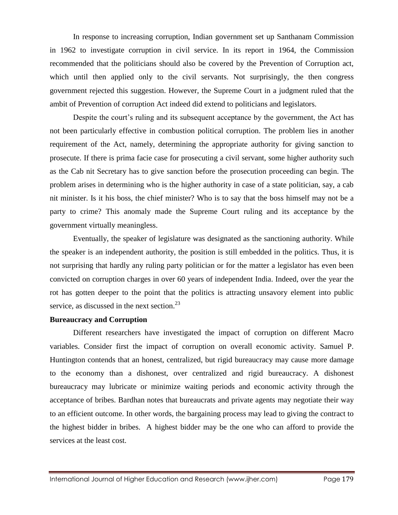In response to increasing corruption, Indian government set up Santhanam Commission in 1962 to investigate corruption in civil service. In its report in 1964, the Commission recommended that the politicians should also be covered by the Prevention of Corruption act, which until then applied only to the civil servants. Not surprisingly, the then congress government rejected this suggestion. However, the Supreme Court in a judgment ruled that the ambit of Prevention of corruption Act indeed did extend to politicians and legislators.

Despite the court's ruling and its subsequent acceptance by the government, the Act has not been particularly effective in combustion political corruption. The problem lies in another requirement of the Act, namely, determining the appropriate authority for giving sanction to prosecute. If there is prima facie case for prosecuting a civil servant, some higher authority such as the Cab nit Secretary has to give sanction before the prosecution proceeding can begin. The problem arises in determining who is the higher authority in case of a state politician, say, a cab nit minister. Is it his boss, the chief minister? Who is to say that the boss himself may not be a party to crime? This anomaly made the Supreme Court ruling and its acceptance by the government virtually meaningless.

Eventually, the speaker of legislature was designated as the sanctioning authority. While the speaker is an independent authority, the position is still embedded in the politics. Thus, it is not surprising that hardly any ruling party politician or for the matter a legislator has even been convicted on corruption charges in over 60 years of independent India. Indeed, over the year the rot has gotten deeper to the point that the politics is attracting unsavory element into public service, as discussed in the next section. $^{23}$ 

#### **Bureaucracy and Corruption**

Different researchers have investigated the impact of corruption on different Macro variables. Consider first the impact of corruption on overall economic activity. Samuel P. Huntington contends that an honest, centralized, but rigid bureaucracy may cause more damage to the economy than a dishonest, over centralized and rigid bureaucracy. A dishonest bureaucracy may lubricate or minimize waiting periods and economic activity through the acceptance of bribes. Bardhan notes that bureaucrats and private agents may negotiate their way to an efficient outcome. In other words, the bargaining process may lead to giving the contract to the highest bidder in bribes. A highest bidder may be the one who can afford to provide the services at the least cost.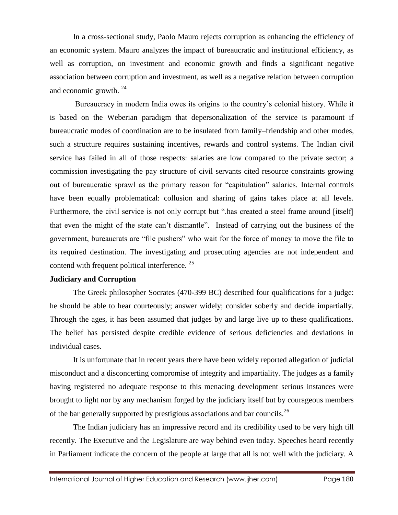In a cross-sectional study, Paolo Mauro rejects corruption as enhancing the efficiency of an economic system. Mauro analyzes the impact of bureaucratic and institutional efficiency, as well as corruption, on investment and economic growth and finds a significant negative association between corruption and investment, as well as a negative relation between corruption and economic growth. <sup>24</sup>

Bureaucracy in modern India owes its origins to the country's colonial history. While it is based on the Weberian paradigm that depersonalization of the service is paramount if bureaucratic modes of coordination are to be insulated from family–friendship and other modes, such a structure requires sustaining incentives, rewards and control systems. The Indian civil service has failed in all of those respects: salaries are low compared to the private sector; a commission investigating the pay structure of civil servants cited resource constraints growing out of bureaucratic sprawl as the primary reason for "capitulation" salaries. Internal controls have been equally problematical: collusion and sharing of gains takes place at all levels. Furthermore, the civil service is not only corrupt but ".has created a steel frame around [itself] that even the might of the state can't dismantle". Instead of carrying out the business of the government, bureaucrats are "file pushers" who wait for the force of money to move the file to its required destination. The investigating and prosecuting agencies are not independent and contend with frequent political interference. <sup>25</sup>

### **Judiciary and Corruption**

The Greek philosopher Socrates (470-399 BC) described four qualifications for a judge: he should be able to hear courteously; answer widely; consider soberly and decide impartially. Through the ages, it has been assumed that judges by and large live up to these qualifications. The belief has persisted despite credible evidence of serious deficiencies and deviations in individual cases.

It is unfortunate that in recent years there have been widely reported allegation of judicial misconduct and a disconcerting compromise of integrity and impartiality. The judges as a family having registered no adequate response to this menacing development serious instances were brought to light nor by any mechanism forged by the judiciary itself but by courageous members of the bar generally supported by prestigious associations and bar councils.<sup>26</sup>

The Indian judiciary has an impressive record and its credibility used to be very high till recently. The Executive and the Legislature are way behind even today. Speeches heard recently in Parliament indicate the concern of the people at large that all is not well with the judiciary. A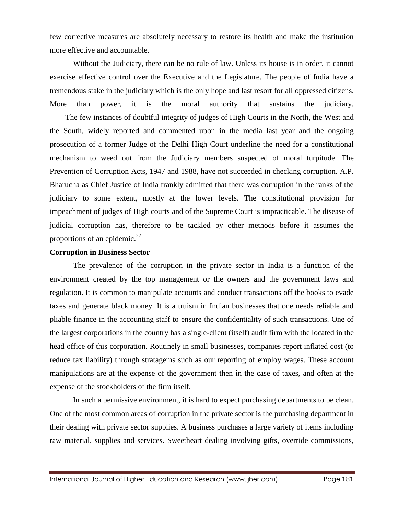few corrective measures are absolutely necessary to restore its health and make the institution more effective and accountable.

Without the Judiciary, there can be no rule of law. Unless its house is in order, it cannot exercise effective control over the Executive and the Legislature. The people of India have a tremendous stake in the judiciary which is the only hope and last resort for all oppressed citizens. More than power, it is the moral authority that sustains the judiciary.

 The few instances of doubtful integrity of judges of High Courts in the North, the West and the South, widely reported and commented upon in the media last year and the ongoing prosecution of a former Judge of the Delhi High Court underline the need for a constitutional mechanism to weed out from the Judiciary members suspected of moral turpitude. The Prevention of Corruption Acts, 1947 and 1988, have not succeeded in checking corruption. A.P. Bharucha as Chief Justice of India frankly admitted that there was corruption in the ranks of the judiciary to some extent, mostly at the lower levels. The constitutional provision for impeachment of judges of High courts and of the Supreme Court is impracticable. The disease of judicial corruption has, therefore to be tackled by other methods before it assumes the proportions of an epidemic. $27$ 

#### **Corruption in Business Sector**

The prevalence of the corruption in the private sector in India is a function of the environment created by the top management or the owners and the government laws and regulation. It is common to manipulate accounts and conduct transactions off the books to evade taxes and generate black money. It is a truism in Indian businesses that one needs reliable and pliable finance in the accounting staff to ensure the confidentiality of such transactions. One of the largest corporations in the country has a single-client (itself) audit firm with the located in the head office of this corporation. Routinely in small businesses, companies report inflated cost (to reduce tax liability) through stratagems such as our reporting of employ wages. These account manipulations are at the expense of the government then in the case of taxes, and often at the expense of the stockholders of the firm itself.

In such a permissive environment, it is hard to expect purchasing departments to be clean. One of the most common areas of corruption in the private sector is the purchasing department in their dealing with private sector supplies. A business purchases a large variety of items including raw material, supplies and services. Sweetheart dealing involving gifts, override commissions,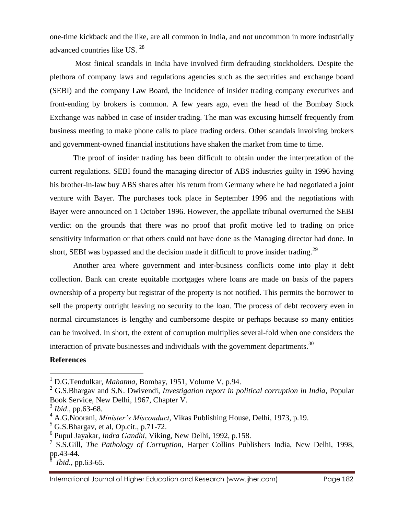one-time kickback and the like, are all common in India, and not uncommon in more industrially advanced countries like US. <sup>28</sup>

Most finical scandals in India have involved firm defrauding stockholders. Despite the plethora of company laws and regulations agencies such as the securities and exchange board (SEBI) and the company Law Board, the incidence of insider trading company executives and front-ending by brokers is common. A few years ago, even the head of the Bombay Stock Exchange was nabbed in case of insider trading. The man was excusing himself frequently from business meeting to make phone calls to place trading orders. Other scandals involving brokers and government-owned financial institutions have shaken the market from time to time.

The proof of insider trading has been difficult to obtain under the interpretation of the current regulations. SEBI found the managing director of ABS industries guilty in 1996 having his brother-in-law buy ABS shares after his return from Germany where he had negotiated a joint venture with Bayer. The purchases took place in September 1996 and the negotiations with Bayer were announced on 1 October 1996. However, the appellate tribunal overturned the SEBI verdict on the grounds that there was no proof that profit motive led to trading on price sensitivity information or that others could not have done as the Managing director had done. In short, SEBI was bypassed and the decision made it difficult to prove insider trading.<sup>29</sup>

Another area where government and inter-business conflicts come into play it debt collection. Bank can create equitable mortgages where loans are made on basis of the papers ownership of a property but registrar of the property is not notified. This permits the borrower to sell the property outright leaving no security to the loan. The process of debt recovery even in normal circumstances is lengthy and cumbersome despite or perhaps because so many entities can be involved. In short, the extent of corruption multiplies several-fold when one considers the interaction of private businesses and individuals with the government departments.<sup>30</sup>

#### **References**

 $\overline{\phantom{a}}$ 

<sup>1</sup> D.G.Tendulkar, *Mahatma*, Bombay, 1951, Volume V, p.94.

<sup>2</sup> G.S.Bhargav and S.N. Dwivendi, *Investigation report in political corruption in India*, Popular Book Service, New Delhi, 1967, Chapter V.

<sup>3</sup> *Ibid*., pp.63-68.

<sup>4</sup> A.G.Noorani, *Minister's Misconduct*, Vikas Publishing House, Delhi, 1973, p.19.

 $<sup>5</sup>$  G.S.Bhargav, et al, Op.cit., p.71-72.</sup>

<sup>6</sup> Pupul Jayakar*, Indra Gandhi*, Viking, New Delhi, 1992, p.158.

<sup>7</sup> S.S.Gill, *The Pathology of Corruption*, Harper Collins Publishers India, New Delhi, 1998, pp.43-44.

<sup>8</sup> *Ibid*., pp.63-65.